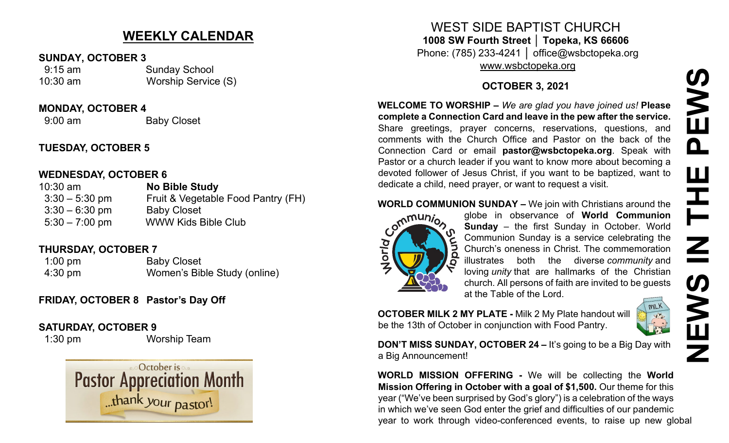# **WEEKLY CALENDAR**

#### **SUNDAY, OCTOBER 3**

 9:15 am Sunday School 10:30 am Worship Service (S)

**MONDAY, OCTOBER 4**

9:00 am Baby Closet

## **TUESDAY, OCTOBER 5**

#### **WEDNESDAY, OCTOBER 6**

10:30 am **No Bible Study**  3:30 – 5:30 pm Fruit & Vegetable Food Pantry (FH) 3:30 – 6:30 pm Baby Closet 5:30 – 7:00 pm WWW Kids Bible Club

## **THURSDAY, OCTOBER 7**

1:00 pm Baby Closet 4:30 pm Women's Bible Study (online)

## **FRIDAY, OCTOBER 8 Pastor's Day Off**

## **SATURDAY, OCTOBER 9**

1:30 pm Worship Team



## WEST SIDE BAPTIST CHURCH **1008 SW Fourth Street │ Topeka, KS 66606** Phone: (785) 233-4241 │ office@wsbctopeka.org [www.wsbctopeka.org](http://www.wsbctopeka.org/)

## **OCTOBER 3, 2021**

**WELCOME TO WORSHIP –** *We are glad you have joined us!* **Please complete a Connection Card and leave in the pew after the service.** Share greetings, prayer concerns, reservations, questions, and comments with the Church Office and Pastor on the back of the Connection Card or email **pastor@wsbctopeka.org**. [S](https://www.facebook.com/ivangreuter.)peak with Pastor or a church leader if you want to know more about becoming a devoted follower of Jesus Christ, if you want to be baptized, want to dedicate a child, need prayer, or want to request a visit. WELCOME TO WORSHIP – We are glad you have joined us! Please<br>
Share greetings, prayer concerns, researvations, questions, and<br>
Comments with the Church Office and Pastor on the back of the<br>
Conments with the Church Office a



**WORLD COMMUNION SUNDAY –** We join with Christians around the globe in observance of **World Communion**<br> **COMMUNION** Sunday – the first Sunday in October. World globe in observance of **World Communion Sunday** – the first Sunday in October. World Communion Sunday is a service celebrating the Church's oneness in Christ. The commemoration illustrates both the diverse *community* and loving *unity* that are hallmarks of the Christian church. All persons of faith are invited to be guests at the Table of the Lord.

**OCTOBER MILK 2 MY PLATE -** Milk 2 My Plate handout will be the 13th of October in conjunction with Food Pantry.



**DON'T MISS SUNDAY, OCTOBER 24 – It's going to be a Big Day with** a Big Announcement!

**WORLD MISSION OFFERING -** We will be collecting the **World Mission Offering in October with a goal of \$1,500.** Our theme for this year ("We've been surprised by God's glory") is a celebration of the ways in which we've seen God enter the grief and difficulties of our pandemic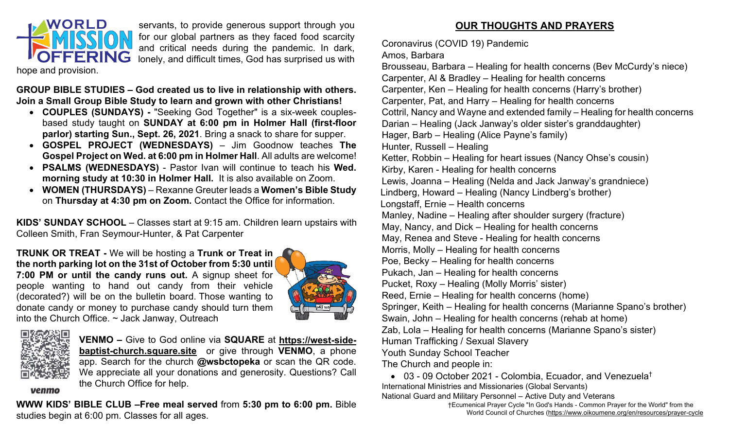

servants, to provide generous support through you for our global partners as they faced food scarcity and critical needs during the pandemic. In dark, lonely, and difficult times, God has surprised us with

hope and provision.

**GROUP BIBLE STUDIES – God created us to live in relationship with others. Join a Small Group Bible Study to learn and grown with other Christians!** 

- **COUPLES (SUNDAYS) -** "Seeking God Together" is a six-week couplesbased study taught on **SUNDAY at 6:00 pm in Holmer Hall (first-floor parlor) starting Sun., Sept. 26, 2021**. Bring a snack to share for supper.
- **GOSPEL PROJECT (WEDNESDAYS)** Jim Goodnow teaches **The Gospel Project on Wed. at 6:00 pm in Holmer Hall**. All adults are welcome!
- **PSALMS (WEDNESDAYS)** Pastor Ivan will continue to teach his **Wed. morning study at 10:30 in Holmer Hall.** It is also available on Zoom.
- **WOMEN (THURSDAYS)** Rexanne Greuter leads a **Women's Bible Study** on **Thursday at 4:30 pm on Zoom.** Contact the Office for information.

**KIDS' SUNDAY SCHOOL** – Classes start at 9:15 am. Children learn upstairs with Colleen Smith, Fran Seymour-Hunter, & Pat Carpenter

**TRUNK OR TREAT -** We will be hosting a **Trunk or Treat in the north parking lot on the 31st of October from 5:30 until 7:00 PM or until the candy runs out.** A signup sheet for people wanting to hand out candy from their vehicle (decorated?) will be on the bulletin board. Those wanting to donate candy or money to purchase candy should turn them into the Church Office.  $\sim$  Jack Janway, Outreach





**VENMO –** Give to God online via **SQUARE** at **[https://west](https://west-side-baptist-church.square.site/)-sidebaptist-[church.square.site](https://west-side-baptist-church.square.site/)** or give through **VENMO**, a phone app. Search for the church **@wsbctopeka** or scan the QR code. We appreciate all your donations and generosity. Questions? Call the Church Office for help.

venmo

**WWW KIDS' BIBLE CLUB –Free meal served** from **5:30 pm to 6:00 pm.** Bible studies begin at 6:00 pm. Classes for all ages.

## **OUR THOUGHTS AND PRAYERS**

Coronavirus (COVID 19) Pandemic

#### Amos, Barbara

Brousseau, Barbara – Healing for health concerns (Bev McCurdy's niece) Carpenter, Al & Bradley – Healing for health concerns Carpenter, Ken – Healing for health concerns (Harry's brother) Carpenter, Pat, and Harry – Healing for health concerns Cottril, Nancy and Wayne and extended family – Healing for health concerns Darian – Healing (Jack Janway's older sister's granddaughter) Hager, Barb – Healing (Alice Payne's family) Hunter, Russell – Healing Ketter, Robbin – Healing for heart issues (Nancy Ohse's cousin) Kirby, Karen - Healing for health concerns Lewis, Joanna – Healing (Nelda and Jack Janway's grandniece) Lindberg, Howard – Healing (Nancy Lindberg's brother) Longstaff, Ernie – Health concerns Manley, Nadine – Healing after shoulder surgery (fracture) May, Nancy, and Dick – Healing for health concerns May, Renea and Steve - Healing for health concerns Morris, Molly – Healing for health concerns Poe, Becky – Healing for health concerns Pukach, Jan – Healing for health concerns Pucket, Roxy – Healing (Molly Morris' sister) Reed, Ernie – Healing for health concerns (home) Springer, Keith – Healing for health concerns (Marianne Spano's brother) Swain, John – Healing for health concerns (rehab at home) Zab, Lola – Healing for health concerns (Marianne Spano's sister) Human Trafficking / Sexual Slavery Youth Sunday School Teacher The Church and people in:

• 03 - 09 October 2021 - Colombia, Ecuador, and Venezuela† International Ministries and Missionaries (Global Servants) National Guard and Military Personnel – Active Duty and Veterans

> †Ecumenical Prayer Cycle "In God's Hands - Common Prayer for the World" from the World Council of Churches [\(https://www.oikoumene.org/en/resources/prayer](https://www.oikoumene.org/en/resources/prayer-cycle)-cycle